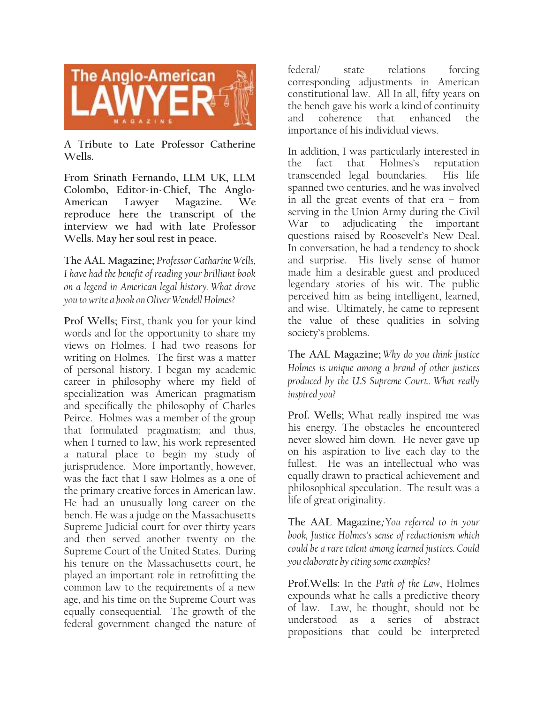

**A Tribute to Late Professor Catherine Wells.**

**From Srinath Fernando, LLM UK, LLM Colombo, Editor-in-Chief, The Anglo-American Lawyer Magazine. We reproduce here the transcript of the interview we had with late Professor Wells. May her soul rest in peace.** 

**The AAL Magazine;** *Professor Catharine Wells, I have had the benefit of reading your brilliant book on a legend in American legal history. What drove you to write a book on Oliver Wendell Holmes?*

**Prof Wells;** First, thank you for your kind words and for the opportunity to share my views on Holmes. I had two reasons for writing on Holmes. The first was a matter of personal history. I began my academic career in philosophy where my field of specialization was American pragmatism and specifically the philosophy of Charles Peirce. Holmes was a member of the group that formulated pragmatism; and thus, when I turned to law, his work represented a natural place to begin my study of jurisprudence. More importantly, however, was the fact that I saw Holmes as a one of the primary creative forces in American law. He had an unusually long career on the bench. He was a judge on the Massachusetts Supreme Judicial court for over thirty years and then served another twenty on the Supreme Court of the United States. During his tenure on the Massachusetts court, he played an important role in retrofitting the common law to the requirements of a new age, and his time on the Supreme Court was equally consequential. The growth of the federal government changed the nature of

federal/ state relations forcing corresponding adjustments in American constitutional law. All In all, fifty years on the bench gave his work a kind of continuity and coherence that enhanced the importance of his individual views.

In addition, I was particularly interested in the fact that Holmes's reputation transcended legal boundaries. His life spanned two centuries, and he was involved in all the great events of that era – from serving in the Union Army during the Civil War to adjudicating the important questions raised by Roosevelt's New Deal. In conversation, he had a tendency to shock and surprise. His lively sense of humor made him a desirable guest and produced legendary stories of his wit. The public perceived him as being intelligent, learned, and wise. Ultimately, he came to represent the value of these qualities in solving society's problems.

**The AAL Magazine;** *Why do you think Justice Holmes is unique among a brand of other justices produced by the U.S Supreme Court.. What really inspired you?*

**Prof. Wells;** What really inspired me was his energy. The obstacles he encountered never slowed him down. He never gave up on his aspiration to live each day to the fullest. He was an intellectual who was equally drawn to practical achievement and philosophical speculation. The result was a life of great originality.

**The AAL Magazine;** *You referred to in your book, Justice Holmes's sense of reductionism which could be a rare talent among learned justices. Could you elaborate by citing some examples?*

**Prof.Wells:** In the *Path of the Law*, Holmes expounds what he calls a predictive theory of law. Law, he thought, should not be understood as a series of abstract propositions that could be interpreted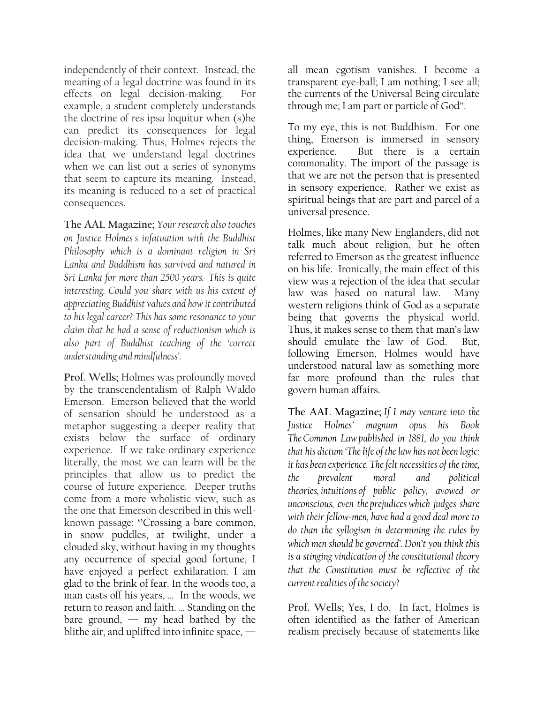independently of their context. Instead, the meaning of a legal doctrine was found in its effects on legal decision-making. For example, a student completely understands the doctrine of res ipsa loquitur when (s)he can predict its consequences for legal decision-making. Thus, Holmes rejects the idea that we understand legal doctrines when we can list out a series of synonyms that seem to capture its meaning. Instead, its meaning is reduced to a set of practical consequences.

**The AAL Magazine;** *Your research also touches on Justice Holmes's infatuation with the Buddhist Philosophy which is a dominant religion in Sri Lanka and Buddhism has survived and natured in Sri Lanka for more than 2500 years. This is quite interesting. Could you share with us his extent of appreciating Buddhist values and how it contributed to his legal career? This has some resonance to your claim that he had a sense of reductionism which is also part of Buddhist teaching of the 'correct understanding and mindfulness'.*

**Prof. Wells;** Holmes was profoundly moved by the transcendentalism of Ralph Waldo Emerson. Emerson believed that the world of sensation should be understood as a metaphor suggesting a deeper reality that exists below the surface of ordinary experience. If we take ordinary experience literally, the most we can learn will be the principles that allow us to predict the course of future experience. Deeper truths come from a more wholistic view, such as the one that Emerson described in this wellknown passage: **''**Crossing a bare common, in snow puddles, at twilight, under a clouded sky, without having in my thoughts any occurrence of special good fortune, I have enjoyed a perfect exhilaration. I am glad to the brink of fear. In the woods too, a man casts off his years, … In the woods, we return to reason and faith. … Standing on the bare ground,  $-$  my head bathed by the blithe air, and uplifted into infinite space, — all mean egotism vanishes. I become a transparent eye-ball; I am nothing; I see all; the currents of the Universal Being circulate through me; I am part or particle of God''.

To my eye, this is not Buddhism. For one thing, Emerson is immersed in sensory experience. But there is a certain commonality. The import of the passage is that we are not the person that is presented in sensory experience. Rather we exist as spiritual beings that are part and parcel of a universal presence.

Holmes, like many New Englanders, did not talk much about religion, but he often referred to Emerson as the greatest influence on his life. Ironically, the main effect of this view was a rejection of the idea that secular law was based on natural law. Many western religions think of God as a separate being that governs the physical world. Thus, it makes sense to them that man's law should emulate the law of God. But, following Emerson, Holmes would have understood natural law as something more far more profound than the rules that govern human affairs.

**The AAL Magazine;** *If I may venture into the Justice Holmes' magnum opus his Book The Common Law published in 1881, do you think that his dictum 'The life of the law has not been logic: it has been experience. The felt necessities of the time, the prevalent [moral](https://www.merriam-webster.com/dictionary/moral) and political theories, [intuitions](https://www.merriam-webster.com/dictionary/intuitions) of public policy, avowed or unconscious, even the [prejudices](https://www.merriam-webster.com/dictionary/prejudices) which judges share with their fellow-men, have had a good deal more to do than the syllogism in determining the rules by which men should be governed'. Don't you think this is a stinging vindication of the constitutional theory that the Constitution must be reflective of the current realities of the society?* 

**Prof. Wells;** Yes, I do. In fact, Holmes is often identified as the father of American realism precisely because of statements like